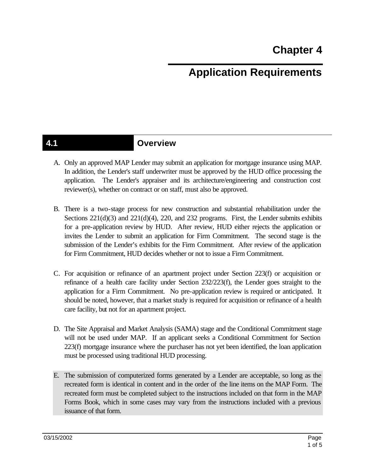# **Application Requirements**

### **4.1 Overview**

- A. Only an approved MAP Lender may submit an application for mortgage insurance using MAP. In addition, the Lender's staff underwriter must be approved by the HUD office processing the application. The Lender's appraiser and its architecture/engineering and construction cost reviewer(s), whether on contract or on staff, must also be approved.
- B. There is a two-stage process for new construction and substantial rehabilitation under the Sections  $221(d)(3)$  and  $221(d)(4)$ ,  $220$ , and  $232$  programs. First, the Lender submits exhibits for a pre-application review by HUD. After review, HUD either rejects the application or invites the Lender to submit an application for Firm Commitment. The second stage is the submission of the Lender's exhibits for the Firm Commitment. After review of the application for Firm Commitment, HUD decides whether or not to issue a Firm Commitment.
- C. For acquisition or refinance of an apartment project under Section 223(f) or acquisition or refinance of a health care facility under Section 232/223(f), the Lender goes straight to the application for a Firm Commitment. No pre-application review is required or anticipated. It should be noted, however, that a market study is required for acquisition or refinance of a health care facility, but not for an apartment project.
- D. The Site Appraisal and Market Analysis (SAMA) stage and the Conditional Commitment stage will not be used under MAP. If an applicant seeks a Conditional Commitment for Section 223(f) mortgage insurance where the purchaser has not yet been identified, the loan application must be processed using traditional HUD processing.
- E. The submission of computerized forms generated by a Lender are acceptable, so long as the recreated form is identical in content and in the order of the line items on the MAP Form. The recreated form must be completed subject to the instructions included on that form in the MAP Forms Book, which in some cases may vary from the instructions included with a previous issuance of that form.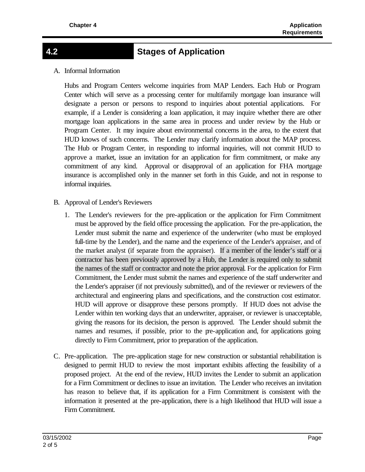## **4.2 Stages of Application**

A. Informal Information

Hubs and Program Centers welcome inquiries from MAP Lenders. Each Hub or Program Center which will serve as a processing center for multifamily mortgage loan insurance will designate a person or persons to respond to inquiries about potential applications. For example, if a Lender is considering a loan application, it may inquire whether there are other mortgage loan applications in the same area in process and under review by the Hub or Program Center. It may inquire about environmental concerns in the area, to the extent that HUD knows of such concerns. The Lender may clarify information about the MAP process. The Hub or Program Center, in responding to informal inquiries, will not commit HUD to approve a market, issue an invitation for an application for firm commitment, or make any commitment of any kind. Approval or disapproval of an application for FHA mortgage insurance is accomplished only in the manner set forth in this Guide, and not in response to informal inquiries.

- B. Approval of Lender's Reviewers
	- 1. The Lender's reviewers for the pre-application or the application for Firm Commitment must be approved by the field office processing the application. For the pre-application, the Lender must submit the name and experience of the underwriter (who must be employed full-time by the Lender), and the name and the experience of the Lender's appraiser, and of the market analyst (if separate from the appraiser). If a member of the lender's staff or a contractor has been previously approved by a Hub, the Lender is required only to submit the names of the staff or contractor and note the prior approval. For the application for Firm Commitment, the Lender must submit the names and experience of the staff underwriter and the Lender's appraiser (if not previously submitted), and of the reviewer or reviewers of the architectural and engineering plans and specifications, and the construction cost estimator. HUD will approve or disapprove these persons promptly. If HUD does not advise the Lender within ten working days that an underwriter, appraiser, or reviewer is unacceptable, giving the reasons for its decision, the person is approved. The Lender should submit the names and resumes, if possible, prior to the pre-application and, for applications going directly to Firm Commitment, prior to preparation of the application.
- C. Pre-application. The pre-application stage for new construction or substantial rehabilitation is designed to permit HUD to review the most important exhibits affecting the feasibility of a proposed project. At the end of the review, HUD invites the Lender to submit an application for a Firm Commitment or declines to issue an invitation. The Lender who receives an invitation has reason to believe that, if its application for a Firm Commitment is consistent with the information it presented at the pre-application, there is a high likelihood that HUD will issue a Firm Commitment.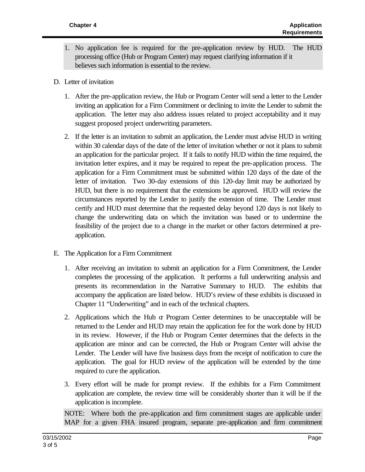- 1. No application fee is required for the pre-application review by HUD. The HUD processing office (Hub or Program Center) may request clarifying information if it believes such information is essential to the review.
- D. Letter of invitation
	- 1. After the pre-application review, the Hub or Program Center will send a letter to the Lender inviting an application for a Firm Commitment or declining to invite the Lender to submit the application. The letter may also address issues related to project acceptability and it may suggest proposed project underwriting parameters.
	- 2. If the letter is an invitation to submit an application, the Lender must advise HUD in writing within 30 calendar days of the date of the letter of invitation whether or not it plans to submit an application for the particular project. If it fails to notify HUD within the time required, the invitation letter expires, and it may be required to repeat the pre-application process. The application for a Firm Commitment must be submitted within 120 days of the date of the letter of invitation. Two 30-day extensions of this 120-day limit may be authorized by HUD, but there is no requirement that the extensions be approved. HUD will review the circumstances reported by the Lender to justify the extension of time. The Lender must certify and HUD must determine that the requested delay beyond 120 days is not likely to change the underwriting data on which the invitation was based or to undermine the feasibility of the project due to a change in the market or other factors determined at preapplication.
- E. The Application for a Firm Commitment
	- 1. After receiving an invitation to submit an application for a Firm Commitment, the Lender completes the processing of the application. It performs a full underwriting analysis and presents its recommendation in the Narrative Summary to HUD. The exhibits that accompany the application are listed below. HUD's review of these exhibits is discussed in Chapter 11 "Underwriting" and in each of the technical chapters.
	- 2. Applications which the Hub or Program Center determines to be unacceptable will be returned to the Lender and HUD may retain the application fee for the work done by HUD in its review. However, if the Hub or Program Center determines that the defects in the application are minor and can be corrected, the Hub or Program Center will advise the Lender. The Lender will have five business days from the receipt of notification to cure the application. The goal for HUD review of the application will be extended by the time required to cure the application.
	- 3. Every effort will be made for prompt review. If the exhibits for a Firm Commitment application are complete, the review time will be considerably shorter than it will be if the application is incomplete.

NOTE: Where both the pre-application and firm commitment stages are applicable under MAP for a given FHA insured program, separate pre-application and firm commitment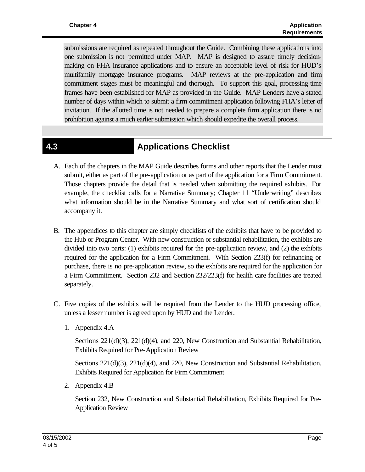submissions are required as repeated throughout the Guide. Combining these applications into one submission is not permitted under MAP. MAP is designed to assure timely decisionmaking on FHA insurance applications and to ensure an acceptable level of risk for HUD's multifamily mortgage insurance programs. MAP reviews at the pre-application and firm commitment stages must be meaningful and thorough. To support this goal, processing time frames have been established for MAP as provided in the Guide. MAP Lenders have a stated number of days within which to submit a firm commitment application following FHA's letter of invitation. If the allotted time is not needed to prepare a complete firm application there is no prohibition against a much earlier submission which should expedite the overall process.

### **4.3 Applications Checklist**

- A. Each of the chapters in the MAP Guide describes forms and other reports that the Lender must submit, either as part of the pre-application or as part of the application for a Firm Commitment. Those chapters provide the detail that is needed when submitting the required exhibits. For example, the checklist calls for a Narrative Summary; Chapter 11 "Underwriting" describes what information should be in the Narrative Summary and what sort of certification should accompany it.
- B. The appendices to this chapter are simply checklists of the exhibits that have to be provided to the Hub or Program Center. With new construction or substantial rehabilitation, the exhibits are divided into two parts: (1) exhibits required for the pre-application review, and (2) the exhibits required for the application for a Firm Commitment. With Section 223(f) for refinancing or purchase, there is no pre-application review, so the exhibits are required for the application for a Firm Commitment. Section 232 and Section 232/223(f) for health care facilities are treated separately.
- C. Five copies of the exhibits will be required from the Lender to the HUD processing office, unless a lesser number is agreed upon by HUD and the Lender.
	- 1. Appendix 4.A

Sections 221(d)(3), 221(d)(4), and 220, New Construction and Substantial Rehabilitation, Exhibits Required for Pre-Application Review

Sections 221(d)(3), 221(d)(4), and 220, New Construction and Substantial Rehabilitation, Exhibits Required for Application for Firm Commitment

2. Appendix 4.B

Section 232, New Construction and Substantial Rehabilitation, Exhibits Required for Pre-Application Review